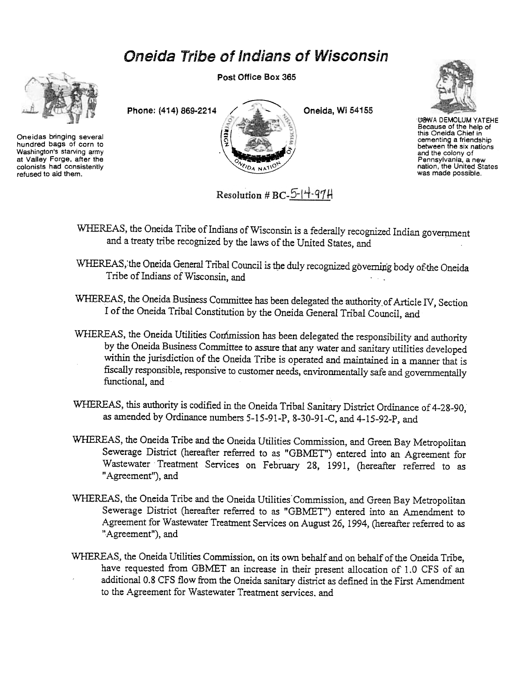# Oneida Tribe of Indians of Wisconsin



Oneidas bringing several hundred bags of corn to Washington's starving army at Valley Forge. after the colonists had consistently refused to aid them.

Post Office Box 365





UGWA DEMOLUM YATEHE Because of the help of<br>this Oneida Chief in cementing a friendshij<br>between the six natior and the colony of Pennsylvania, a new nation, the United States was made possible.

Resolution # BC-5- $|$ +-97H

- WHEREAS, the Oneida Tribe of Indians of Wisconsin is a federally recognized Indian government and a treaty tribe recognized by the laws of the United States, and
- WHEREAS, the Oneida General Tribal Council is the duly recognized governing body of the Oneida Tribe of Indians of Wisconsin, and
- WHEREAS, the Oneida Business Committee has been delegated the authority \_of Article IV, Section I of the Oneida Tribal Constitution by the Oneida General Tribal Council, and
- WHEREAS, the Oneida Utilities Conimission has been delegated the responsibility and authority by the Oneida Business Committee to assure that any water and sanitary utilities developed within the jurisdiction of the Oneida Tribe is operated and maintained in a manner that is fiscally responsible, responsive to customer needs, environmentally safe and governmentally functional, and
- WHEREAS, this authority is codified in the Oneida Tribal Sanitary District Ordinance of 4-28-90, as amended by Ordinance numbers 5-15-91-P, 8-30-91-C, and 4-15-92-P, and
- WHEREAS, the Oneida Tribe and the Oneida Utilities Commission, and Green Bay Metropolitan Sewerage District (hereafter referred to as "GBMET") entered into an Agreement for Wastewater Treatment Services on February 28, 1991, (hereafter referred to as "Agreement"), and
- WHEREAS, the Oneida Tribe and the Oneida Utilities' Commission, and Green Bay Metropolitan Sewerage District (hereafter referred to as "GBMET") entered into an Amendment to Agreement for Wastewater Treatment Services on August 26, 1994, (hereafter referred to as "Agreement"), and
- WHEREAS, the Oneida Utilities Commission, on its own behalf and on behalf of the Oneida Tribe, have requested from GBMET an increase in their present allocation of 1.0 CFS of an additional 0.8 CFS flow from the Oneida sanitary district as defined in the First Amendment to the Agreement for Wastewater Treatment services. and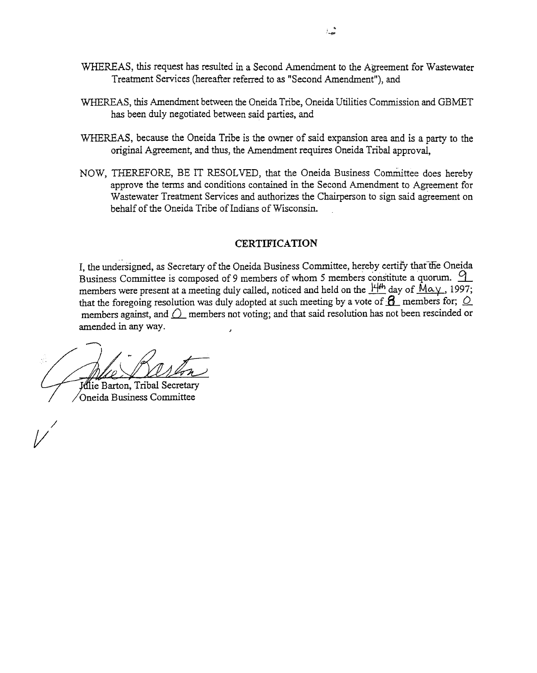- WHEREAS, this request has resulted in a Second Amendment to the Agreement for Wastewater Treatment Services (hereafter referred to as "Second Amendment"), and
- WHEREAS, this Amendment between the Oneida Tribe, Oneida Utilities Commission and GBMET has been duly negotiated between said parties, and
- WHEREAS, because the Oneida Tribe is the owner of said expansion area and is a party to the original Agreement, and thus, the Amendment requires Oneida Tribal approval,
- NOW, THEREFORE, BE IT RESOLVED, that the Oneida Business Committee does hereby approve the tenns and conditions contained in the Second Amendment to Agreement for Wastewater Treatment Services and authorizes the Chairperson to sign said agreement on behalf of the Oneida Tribe of Indians of Wisconsin.

### **CERTIFICATION**

I, the undersigned, as Secretary of the Oneida Business Committee, hereby certify that the Oneida Business Committee is composed of 9 members of whom 5 members constitute a quorum.  $\frac{9}{9}$ members were present at a meeting duly called, noticed and held on the  $\frac{14}{10}$  day of  $\overline{M\alpha}$ . 1997; that the foregoing resolution was duly adopted at such meeting by a vote of  $\beta$ - members for;  $\circ$ members against, and  $\bigcirc$  members not voting; and that said resolution has not been rescinded or amended in any way.

~

/

**Mie Barton, Tribal Secretary** Oneida Business Committee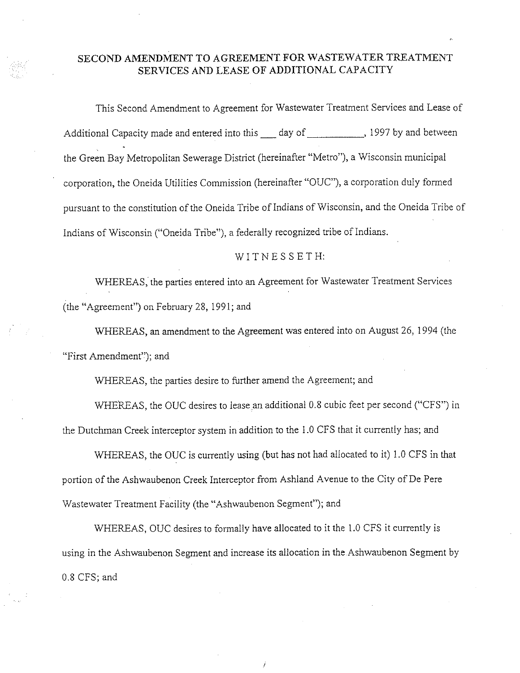## SECOND AMENDMENT TO AGREEMENT FOR WASTEWATER TREATMENT SERVICES AND LEASE OF ADDITIONAL CAPACITY

This Second Amendment to Agreement for Wastewater Treatment Services and Lease of Additional Capacity made and entered into this 1 day of 1997 by and between the Green Bay Metropolitan Sewerage District (hereinafter "Metro"), a Wisconsin municipal corporation, the Oneida Utilities Commission (hereinafter "OUC"), a corporation duly formed pursuant to the constitution of the Oneida Tribe of Indians of Wisconsin, and the Oneida Tribe of Indians of Wisconsin ("Oneida Tribe"), a federally recognized tribe of Indians.

#### WITNESSETH:

WHEREAS, the parties entered into an Agreement for Wastewater Treatment Services (the "Agreement") on February 28, 1991; and

WHEREAS, an amendment to the Agreement was entered into on August 26, 1994 (the "First Amendment"); and

WHEREAS, the parties desire to further amend the Agreement; and

WHEREAS, the OUC desires to lease an additional 0.8 cubic feet per second ("CFS") in the Dutchman Creek interceptor system in addition to the 1.0 CFS that it currently has; and

WHEREAS, the OUC is currently using (but has not had allocated to it) 1.0 CFS in that portion of the Ashwaubenon Creek Interceptor from Ashland Avenue to the City of De Pere Wastewater Treatment Facility (the "Ashwaubenon Segment"); and

WHEREAS, OUC desires to formally have allocated to it the 1.0 CFS it currently is using in the Ashwaubenon Segment and increase its allocation in the Ashwaubenon Segment by 0.8 CFS; and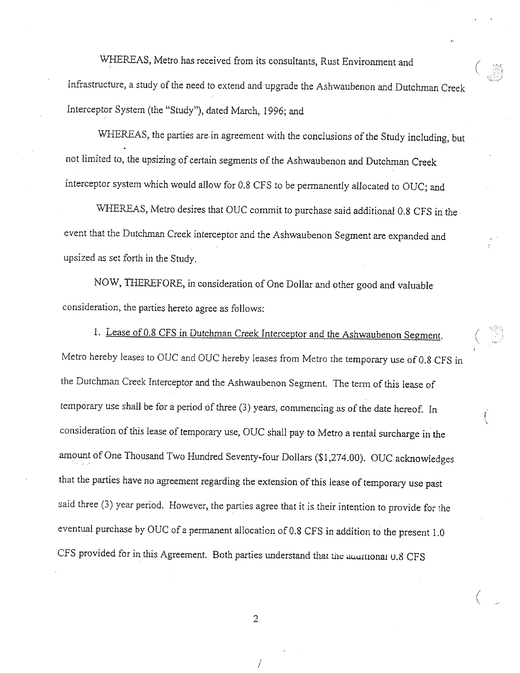WHEREAS, Metro has received from its consultants, Rust Environment and Infrastructure, a study of the need to extend and upgrade the Ashwaubenon and Dutchman Creek Interceptor System (the "Study"), dated March, 1996; and

WHEREAS, the parties are in agreement with the conclusions of the Study including, but not limited to, the upsizing of certain segments of the Ashwaubenon and Dutchman Creek interceptor system which would allow for 0.8 CFS to be permanently allocated to OUC; and

WHEREAS, Metro desires that OUC commit to purchase said additional 0.8 CFS in the event that the Dutchman Creek interceptor and the Ashwaubenon Segment are expanded and upsized as set forth in the Study.

NOW, THEREFORE, in consideration of One Dollar and other good and valuable consideration, the parties hereto agree as follows:

1. Lease of 0.8 CFS in Dutchman Creek Interceptor and the Ashwaubenon Segment. Metro hereby leases to OUC and OUC hereby leases from Metro the temporary use of 0.8 CFS in the Dutchman Creek Interceptor and the Ashwaubenon Segment. The term of this lease of temporary use shall be for a period of three (3) years, commencing as of the date hereof. In consideration of this lease of temporary use, OUC shall pay to Metro a rental surcharge in the amount of One Thousand Two Hundred Seventy-four Dollars (\$1,274.00). OUC acknowledges that the parties have no agreement regarding the extension of this lease of temporary use past said three (3) year period. However, the parties agree that it is their intention to provide for the eventual purchase by OUC of a permanent allocation of 0.8 CFS in addition to the present 1.0 CFS provided for in this Agreement. Both parties understand that the accutional 0.8 CFS

 $\overline{2}$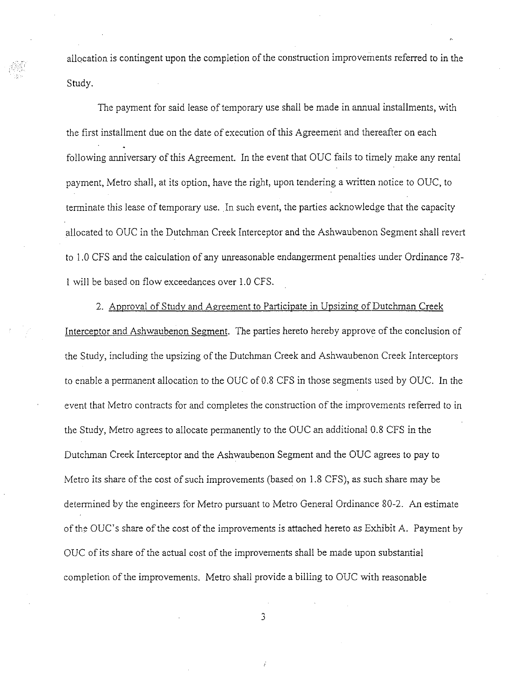allocation is contingent upon the completion of the construction improvements referred to in the Study.

The payment for said lease of temporary use shall be made in annual installments, with the first installment due on the date of execution of this Agreement and thereafter on each following anniversary of this Agreement. In the event that OUC fails to timely make any rental payment, Metro shall, at its option, have the right, upon tendering a written notice to OUC, to terminate this lease of temporary use. In such event, the parties acknowledge that the capacity allocated to OUC in the Dutchman Creek Interceptor and the Ashwaubenon Segment shall revert to 1.0 CFS and the calculation of any unreasonable endangerment penalties under Ordinance 78-1 will be based on flow exceedances over 1.0 CFS.

2. Approval of Study and Agreement to Participate in Upsizing of Dutchman Creek Interceptor and Ashwaubenon Segment. The parties hereto hereby approve of the conclusion of the Study, including the upsizing of the Dutchman Creek and Ashwaubenon Creek Interceptors to enable a permanent allocation to the OUC of 0.8 CFS in those segments used by OUC. In the event that Metro contracts for and completes the construction of the improvements referred to in the Study, Metro agrees to allocate permanently to the OUC an additional 0.8 CFS in the Dutchman Creek Interceptor and the Ashwaubenon Segment and the OUC agrees to pay to Metro its share of the cost of such improvements (based on 1.8 CFS), as such share may be determined by the engineers for Metro pursuant to Metro General Ordinance 80-2. An estimate of the OUC's share of the cost of the improvements is attached hereto as Exhibit A. Payment by OUC of its share of the actual cost of the improvements shall be made upon substantial completion of the improvements. Metro shall provide a billing to OUC with reasonable

3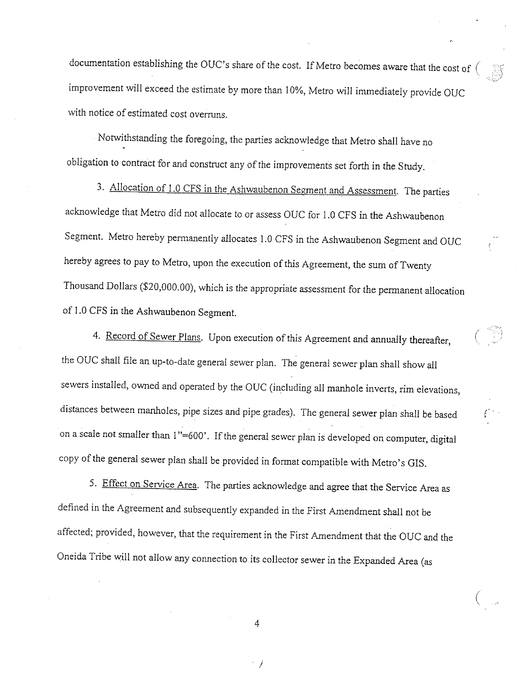documentation establishing the OUC's share of the cost. If Metro becomes aware that the cost of  $($ improvement will exceed the estimate by more than 10%, Metro will immediately provide OUC with notice of estimated cost overruns.

Notwithstanding the foregoing, the parties acknowledge that Metro shall have no obligation to contract for and construct any of the improvements set forth in the Study.

3. Allocation of 1.0 CFS in the Ashwaubenon Segment and Assessment. The parties acknowledge that Metro did not allocate to or assess OUC for 1.0 CFS in the Ashwaubenon Segment. Metro hereby permanently allocates 1.0 CFS in the Ashwaubenon Segment and OUC hereby agrees to pay to Metro, upon the execution of this Agreement, the sum of Twenty Thousand Dollars (\$20,000.00), which is the appropriate assessment for the permanent allocation of 1.0 CFS in the Ashwaubenon Segment.

4. Record of Sewer Plans. Upon execution of this Agreement and annually thereafter, the OUC shall file an up-to-date general sewer plan. The general sewer plan shall show all sewers installed, owned and operated by the OUC (including all manhole inverts, rim elevations, distances between manholes, pipe sizes and pipe grades). The general sewer plan shall be based on a scale not smaller than 1"=600'. If the general sewer plan is developed on computer, digital copy of the general sewer plan shall be provided in format compatible with Metro's GIS.

5. Effect on Service Area. The parties acknowledge and agree that the Service Area as defined in the Agreement and subsequently expanded in the First Amendment shall not be affected; provided, however, that the requirement in the First Amendment that the OUC and the Oneida Tribe will not allow any connection to its collector sewer in the Expanded Area (as

4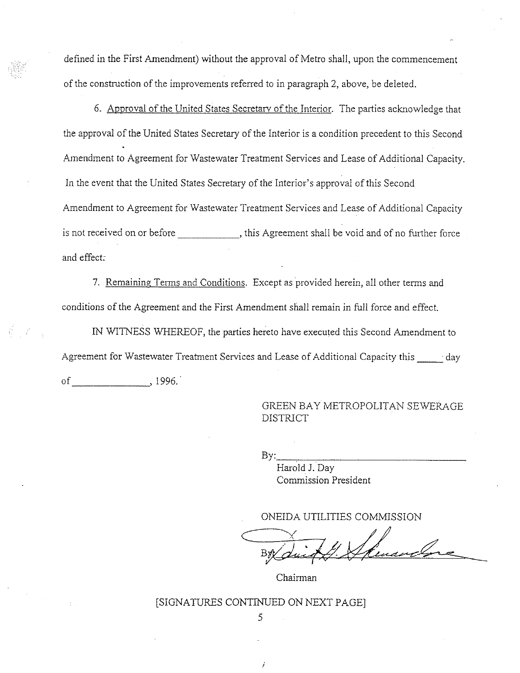defined in the First Amendment) without the approval of Metro shall, upon the commencement of the construction of the improvements referred to in paragraph 2, above, be deleted.

6. Approval of the United States Secretary of the Interior. The parties acknowledge that the approval of the United States Secretary of the Interior is a condition precedent to this Second Amendment to Agreement for Wastewater Treatment Services and Lease of Additional Capacity. In the event that the United States Secretary of the Interior's approval of this Second Amendment to Agreement for Wastewater Treatment Services and Lease of Additional Capacity is not received on or before \_\_\_\_\_\_\_\_\_\_\_\_\_, this Agreement shall be void and of no further force and effect:

7. Remaining Terms and Conditions. Except as provided herein, all other terms and conditions of the Agreement and the First Amendment shall remain in full force and effect.

IN WITNESS WHEREOF, the parties hereto have executed this Second Amendment to Agreement for Wastewater Treatment Services and Lease of Additional Capacity this day of 996.

> GREEN BAY METROPOLITAN SEWERAGE **DISTRICT**

By:

Harold J. Day Commission President

ONEIDA UTILITIES COMMISSION

Chairman

## [SIGNATURES CONTINUED ON NEXT PAGE] 5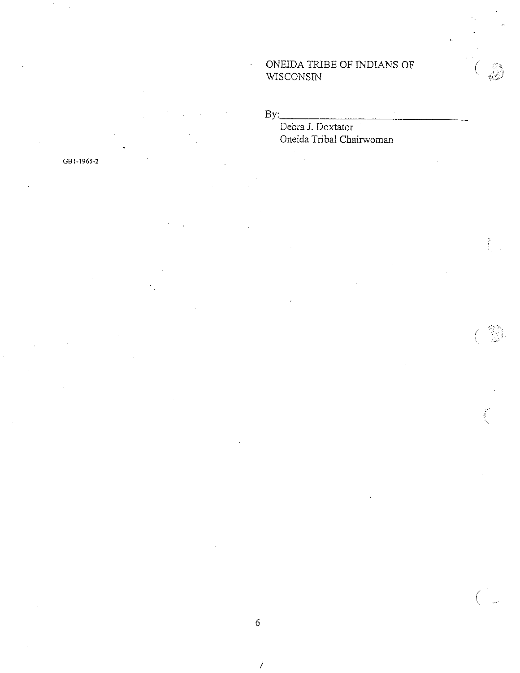## ONEIDA TRIBE OF INDIANS OF WISCONSIN

 $By:$ 

# Debra J. Doxtator Oneida Tribal Chairwoman

 $\mathcal{I}$ 

GB1-1965-2

Í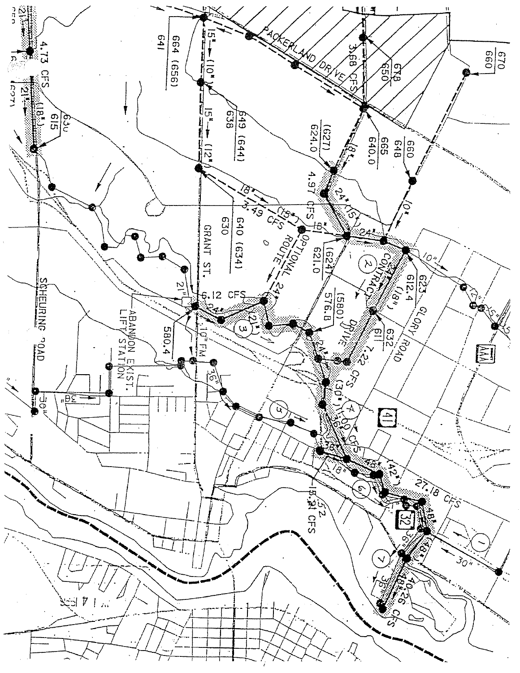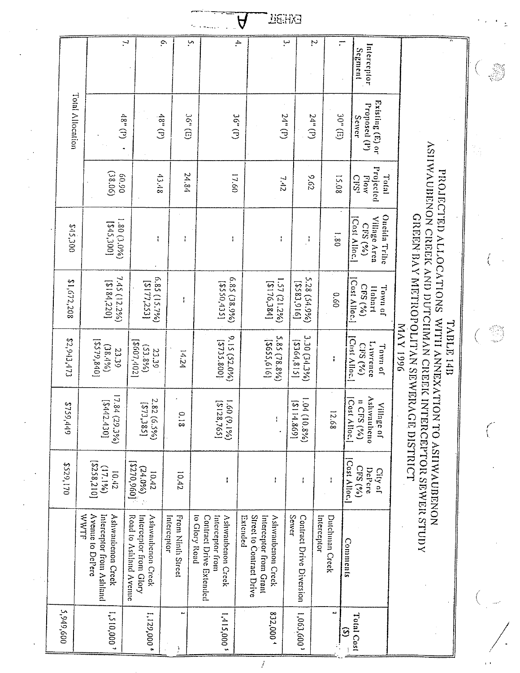|                  |                                                                           |                                                                       |                                  |                                                                                          | Д                                                                                          | <b>DE HX3</b>                     |                               |                                                                |                                                                                          |    |
|------------------|---------------------------------------------------------------------------|-----------------------------------------------------------------------|----------------------------------|------------------------------------------------------------------------------------------|--------------------------------------------------------------------------------------------|-----------------------------------|-------------------------------|----------------------------------------------------------------|------------------------------------------------------------------------------------------|----|
|                  |                                                                           | $\overline{ }$                                                        | $\tilde{c}$                      | ŗ,                                                                                       | $\Delta$                                                                                   | ب                                 | Z.                            | $\overline{\cdot}$<br>Interceptor<br>Segment                   |                                                                                          |    |
| Total Allocation | $(d)$ $a3$ )                                                              | $(4)$ $.8b$                                                           | $36^n$ (E)                       | $(4)$ app                                                                                | $24^n$ (r)                                                                                 | $24^n$ (P)                        | 30" (E)                       | Existing (E) or<br>Proposed (P)<br>Sewer                       |                                                                                          |    |
|                  | (38.06)<br>06'09                                                          | 43.48                                                                 | 24.84                            | 17.60                                                                                    | 21.42                                                                                      | 5.62                              | 15.08                         | Projected<br>Total<br>Endry<br><b>CliS</b>                     |                                                                                          |    |
| S45,300          | 1.80 (3.0%)<br>[00C513]                                                   | ł                                                                     | ÷                                | ł                                                                                        | ł                                                                                          | Ĵ,                                | 08'1                          | Oncida Tribe<br><b>Villinge Area</b><br>Cost Alloc.<br>CPS (v) | A SIIWAUBENON CREEK AMD DUTCIIMAN CREEK INTERCEPTOR SEWER STUDY<br>PROJECTED ALLOCATIONS |    |
| 802'208          | 7.45 (12.2%)<br>[0.184, 220]                                              | 6.85(15.7%)<br>[217221]                                               | ł                                | (%0.85) 28.5%)<br>[SEP'0SSS]                                                             | 1.57(21.2%)<br>[b8C'9LIS]                                                                  | 5.28 (54.9%)<br>[916] [253]       | 0.60                          | Cost Alloc.<br>CFS(%<br>То ичноТ<br>Itabart                    |                                                                                          |    |
| \$2,943,473      | [2579,840]<br>$(38.4\%)$<br>23.39                                         | [2607,402]<br>$(53.8\%)$<br>23.39                                     | yz1                              | 9.15 (52.0%)<br>[008.2557]                                                               | 5.85 (78.8%)<br>[519'553]                                                                  | 3.30 (34.3%)<br>[2364, 815]       | $\ddot{\phantom{a}}$          | Ciist Alloc.<br>L <sub>1Wrence</sub><br>CRS(4)<br>To myn of    | <b>TABLE 14D</b><br>9661 AVM                                                             | 93 |
| \$759,449        | 17.84 (29.3%)<br>[0542.430]                                               | 2.82 (6.5%)<br>[273.385]                                              | $\frac{0.18}{0}$                 | (961'6)09'1<br>[5128,765]                                                                |                                                                                            | $(948'01)$ $10'1$<br>[698'1113]   | 12.68                         | Ashwaubeno<br>Cost Alloc.<br>$\ln$ CFS (%)<br>Village of       | GREEN BAY METROPOLITAN SEWERAGE DISTRICT<br>WITH ANNEXATION TO ASHWAUBENON               |    |
| <b>\$529,170</b> | [2258,210]<br>(9/6171)<br>7101                                            | [096'0L23]<br>$(24.0\%)$<br>10.42                                     | 10.42                            | ŧ                                                                                        | ł                                                                                          | $\mathfrak i$                     |                               | Cost Alloc.<br>DePere<br>CFS (%)<br>City of                    |                                                                                          |    |
|                  | Interceptor from Ashland<br>WWTF<br>Avenue to DePere<br>Ashwaubenon Creek | Interceptor from Glory<br>Road to Ashland Avenue<br>Ashwaubenon Creek | Interceptor<br>From Ninth Street | to Glory Road<br>Interceptor from<br><b>Contract Drive Extended</b><br>Ashwaubenon Creek | Street to Contract Drive<br>Interceptor from Grant<br><b>Ashwaubenon Creek</b><br>Extended | Sewer<br>Contract Drive Diversion | Interceptor<br>Dutchman Creck | Comments                                                       |                                                                                          |    |
| 5,949,600        | 1,510,000'                                                                | 1,129,000                                                             | ∾                                | 1,415,000'                                                                               | 832,000                                                                                    | (009'00')                         | N.                            | Total Cost<br>$\odot$                                          |                                                                                          |    |

 $\ddot{ }$ 

 $\overline{\mathcal{I}}$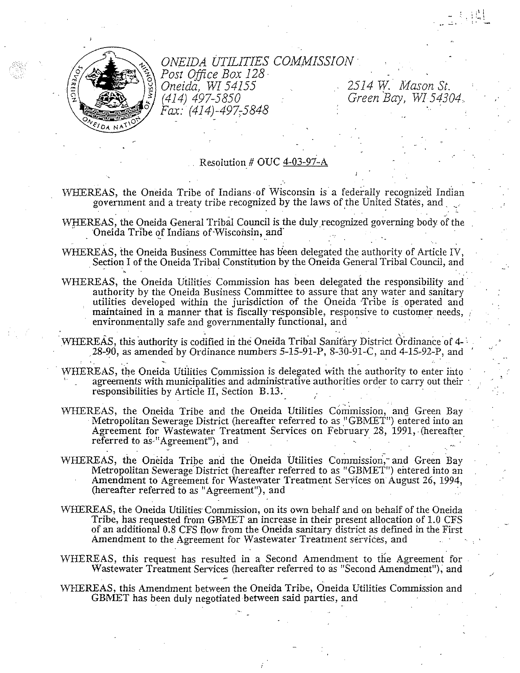

## ONEIDA UTILITIES COMMISSION Post Office Box 128

Oneida, WI 54155 (414) 497-5850 Fax: (414)-497-5848

2514 W. Mason St. Green Bay, WI 54304

#### Resolution # OUC 4-03-97-A

WHEREAS, the Oneida Tribe of Indians of Wisconsin is a federally recognized Indian government and a treaty tribe recognized by the laws of the United States, and

- WHEREAS, the Oneida General Tribal Council is the duly recognized governing body of the Oneida Tribe of Indians of Wisconsin, and
- WHEREAS, the Oneida Business Committee has been delegated the authority of Article IV, Section I of the Oneida Tribal Constitution by the Oneida General Tribal Council, and
- WHEREAS, the Oneida Utilities Commission has been delegated the responsibility and authority by the Oneida Business Committee to assure that any water and sanitary utilities developed within the jurisdiction of the Oneida Tribe is operated and maintained in a manner that is fiscally responsible, responsive to customer needs, environmentally safe and governmentally functional, and
- WHEREAS, this authority is codified in the Oneida Tribal Sanitary District Ordinance of 4-28-90, as amended by Ordinance numbers 5-15-91-P, 8-30-91-C, and 4-15-92-P, and
- WHEREAS, the Oneida Utilities Commission is delegated with the authority to enter into agreements with municipalities and administrative authorities order to carry out their responsibilities by Article II, Section B.13.
- WHEREAS, the Oneida Tribe and the Oneida Utilities Commission, and Green Bay Metropolitan Sewerage District (hereafter referred to as "GBMET") entered into an Agreement for Wastewater Treatment Services on February 28, 1991, (hereafter referred to as "Agreement"), and
- WHEREAS, the Oneida Tribe and the Oneida Utilities Commission, and Green Bay Metropolitan Sewerage District (hereafter referred to as "GBMET") entered into an Amendment to Agreement for Wastewater Treatment Services on August 26, 1994, (hereafter referred to as "Agreement"), and
- WHEREAS, the Oneida Utilities Commission, on its own behalf and on behalf of the Oneida Tribe, has requested from GBMET an increase in their present allocation of 1.0 CFS of an additional 0.8 CFS flow from the Oneida sanitary district as defined in the First Amendment to the Agreement for Wastewater Treatment services, and
- WHEREAS, this request has resulted in a Second Amendment to the Agreement for Wastewater Treatment Services (hereafter referred to as "Second Amendment"), and
- WHEREAS, this Amendment between the Oneida Tribe, Oneida Utilities Commission and GBMET has been duly negotiated between said parties, and